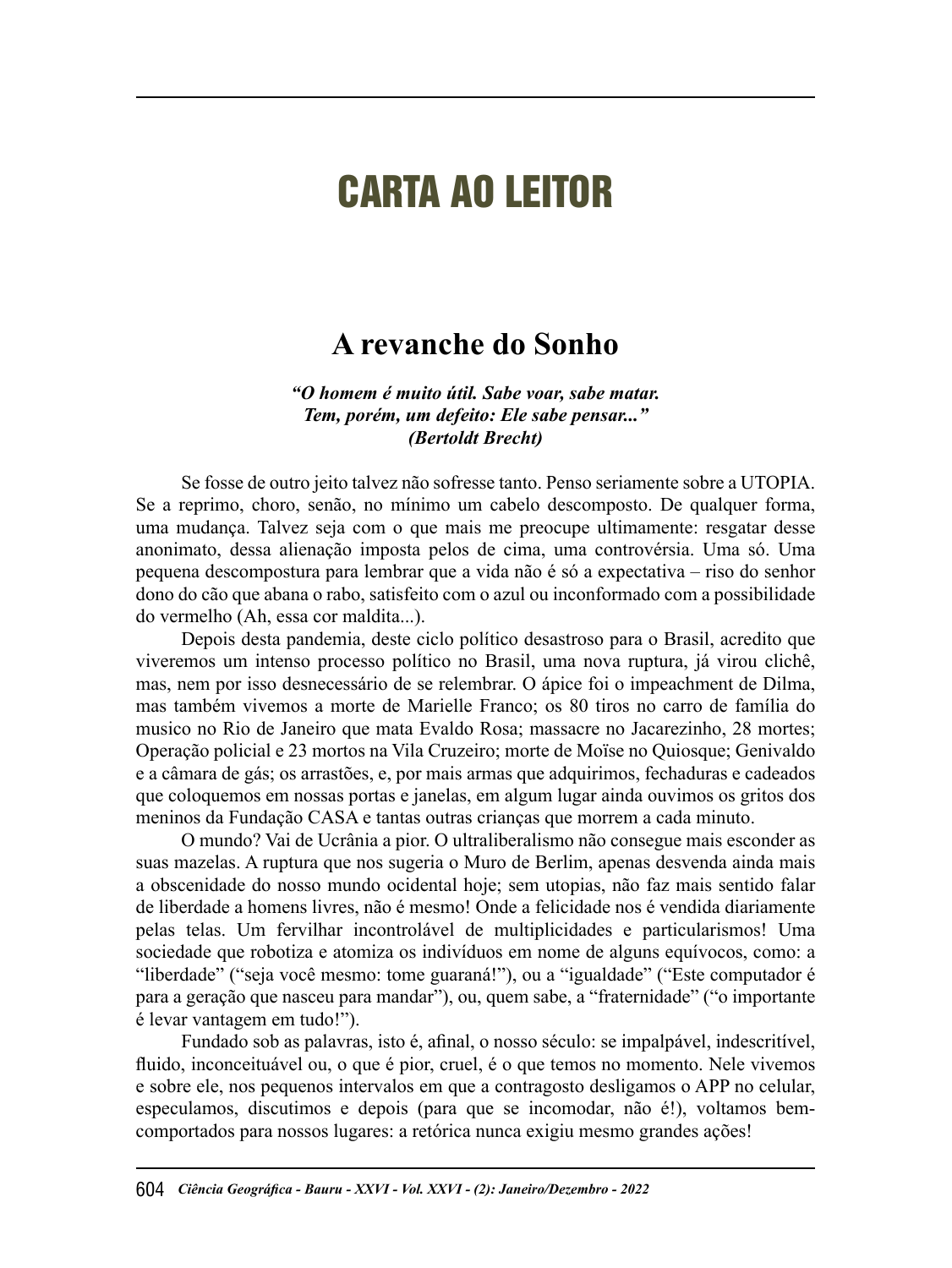# CARTA AO LEITOR

## **A revanche do Sonho**

*"O homem é muito útil. Sabe voar, sabe matar. Tem, porém, um defeito: Ele sabe pensar..." (Bertoldt Brecht)*

Se fosse de outro jeito talvez não sofresse tanto. Penso seriamente sobre a UTOPIA. Se a reprimo, choro, senão, no mínimo um cabelo descomposto. De qualquer forma, uma mudança. Talvez seja com o que mais me preocupe ultimamente: resgatar desse anonimato, dessa alienação imposta pelos de cima, uma controvérsia. Uma só. Uma pequena descompostura para lembrar que a vida não é só a expectativa – riso do senhor dono do cão que abana o rabo, satisfeito com o azul ou inconformado com a possibilidade do vermelho (Ah, essa cor maldita...).

Depois desta pandemia, deste ciclo político desastroso para o Brasil, acredito que viveremos um intenso processo político no Brasil, uma nova ruptura, já virou clichê, mas, nem por isso desnecessário de se relembrar. O ápice foi o impeachment de Dilma, mas também vivemos a morte de Marielle Franco ; os 80 tiros no carro de família do musico no Rio de Janeiro que mata Evaldo Rosa; massacre no Jacarezinho, 28 mortes; Operação policial e 23 mortos na Vila Cruzeiro; morte de Moïse no Quiosque; Genivaldo e a câmara de gás; os arrastões, e, por mais armas que adquirimos, fechaduras e cadeados que coloquemos em nossas portas e janelas, em algum lugar ainda ouvimos os gritos dos meninos da Fundação CASA e tantas outras crianças que morrem a cada minuto.

O mundo? Vai de Ucrânia a pior. O ultraliberalismo não consegue mais esconder as suas mazelas. A ruptura que nos sugeria o Muro de Berlim, apenas desvenda ainda mais a obscenidade do nosso mundo ocidental hoje; sem utopias, não faz mais sentido falar de liberdade a homens livres, não é mesmo! Onde a felicidade nos é vendida diariamente pelas telas. Um fervilhar incontrolável de multiplicidades e particularismos! Uma sociedade que robotiza e atomiza os indivíduos em nome de alguns equívocos, como: a "liberdade" ("seja você mesmo: tome guaraná!"), ou a "igualdade" ("Este computador é para a geração que nasceu para mandar"), ou, quem sabe, a "fraternidade" ("o importante é levar vantagem em tudo!").

Fundado sob as palavras, isto é, afinal, o nosso século: se impalpável, indescritível, fluido, inconceituável ou, o que é pior, cruel, é o que temos no momento. Nele vivemos e sobre ele, nos pequenos intervalos em que a contragosto desligamos o APP no celular, especulamos, discutimos e depois (para que se incomodar, não é!), voltamos bemcomportados para nossos lugares: a retórica nunca exigiu mesmo grandes ações!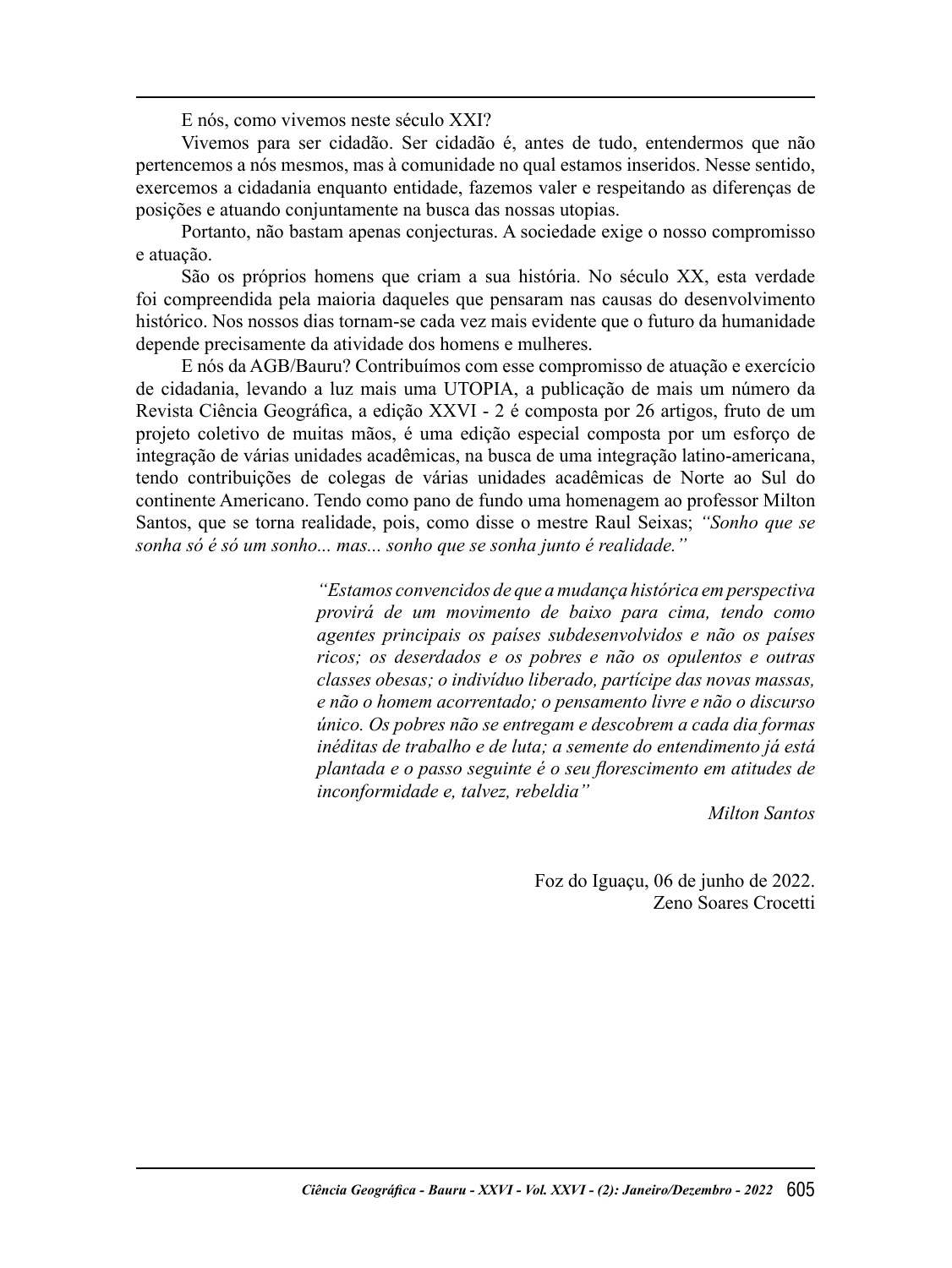E nós, como vivemos neste século XXI?

Vivemos para ser cidadão. Ser cidadão é, antes de tudo, entendermos que não pertencemos a nós mesmos, mas à comunidade no qual estamos inseridos. Nesse sentido, exercemos a cidadania enquanto entidade, fazemos valer e respeitando as diferenças de posições e atuando conjuntamente na busca das nossas utopias.

Portanto, não bastam apenas conjecturas. A sociedade exige o nosso compromisso e atuação.

São os próprios homens que criam a sua história. No século XX, esta verdade foi compreendida pela maioria daqueles que pensaram nas causas do desenvolvimento histórico. Nos nossos dias tornam-se cada vez mais evidente que o futuro da humanidade depende precisamente da atividade dos homens e mulheres.

E nós da AGB/Bauru? Contribuímos com esse compromisso de atuação e exercício de cidadania, levando a luz mais uma UTOPIA, a publicação de mais um número da Revista Ciência Geográfica, a edição XXVI - 2 é composta por 26 artigos, fruto de um projeto coletivo de muitas mãos, é uma edição especial composta por um esforço de integração de várias unidades acadêmicas, na busca de uma integração latino-americana, tendo contribuições de colegas de várias unidades acadêmicas de Norte ao Sul do continente Americano. Tendo como pano de fundo uma homenagem ao professor Milton Santos, que se torna realidade, pois, como disse o mestre Raul Seixas; *"Sonho que se sonha só é só um sonho... mas... sonho que se sonha junto é realidade."*

> *"Estamos convencidos de que a mudança histórica em perspectiva provirá de um movimento de baixo para cima, tendo como agentes principais os países subdesenvolvidos e não os países ricos; os deserdados e os pobres e não os opulentos e outras classes obesas; o indivíduo liberado, partícipe das novas massas, e não o homem acorrentado; o pensamento livre e não o discurso único. Os pobres não se entregam e descobrem a cada dia formas inéditas de trabalho e de luta; a semente do entendimento já está*  plantada e o passo seguinte é o seu florescimento em atitudes de *inconformidade e, talvez, rebeldia"*

> > *Milton Santos*

Foz do Iguaçu, 06 de junho de 2022. Zeno Soares Crocetti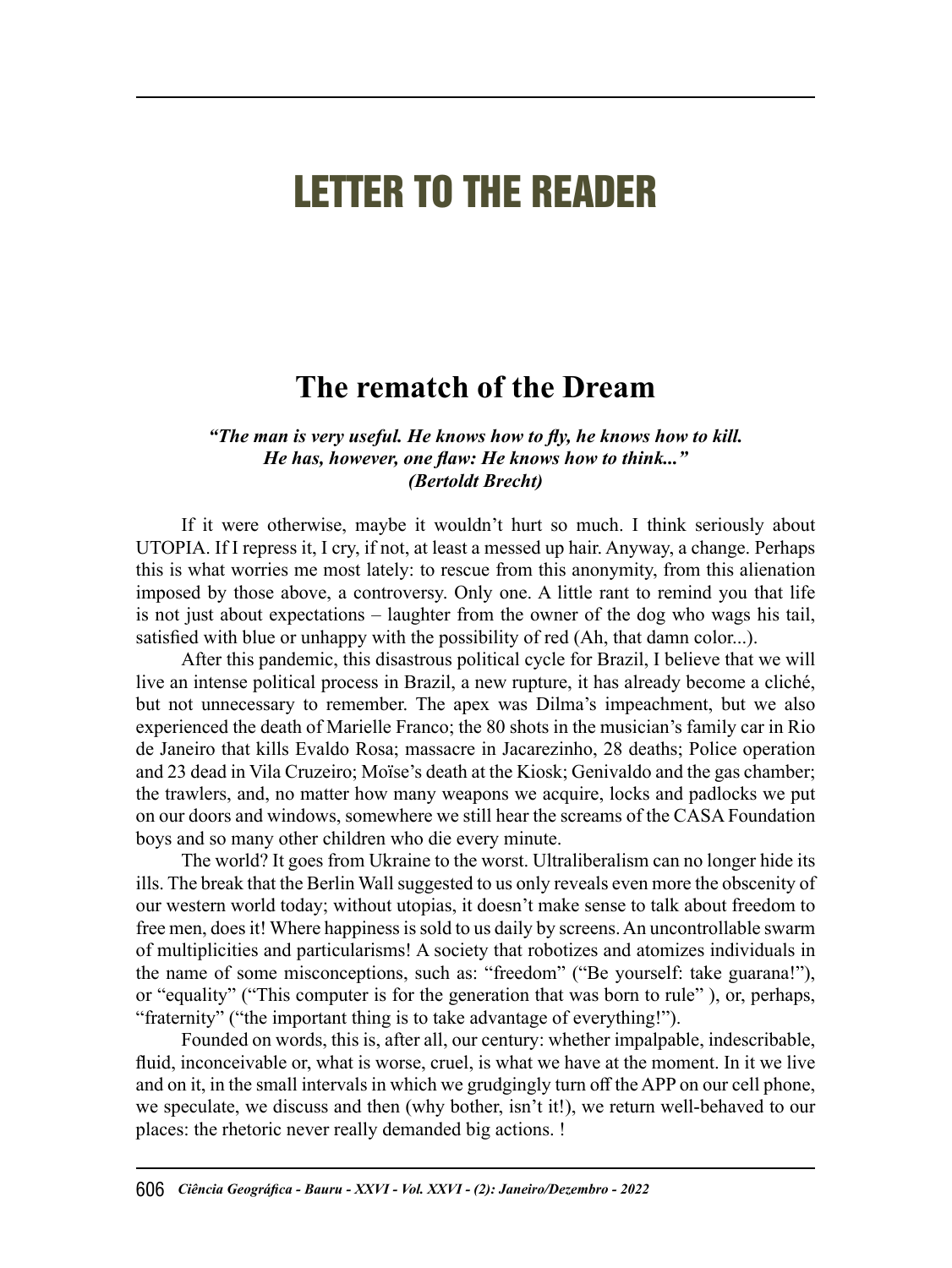## LETTER TO THE READER

## **The rematch of the Dream**

#### *"The man is very useful. He knows how to fl y, he knows how to kill. He has, however, one flaw: He knows how to think...*" *(Bertoldt Brecht)*

If it were otherwise, maybe it wouldn't hurt so much. I think seriously about UTOPIA. If I repress it, I cry, if not, at least a messed up hair. Anyway, a change. Perhaps this is what worries me most lately: to rescue from this anonymity, from this alienation imposed by those above, a controversy. Only one. A little rant to remind you that life is not just about expectations – laughter from the owner of the dog who wags his tail, satisfied with blue or unhappy with the possibility of red (Ah, that damn color...).

After this pandemic, this disastrous political cycle for Brazil, I believe that we will live an intense political process in Brazil, a new rupture, it has already become a cliché, but not unnecessary to remember. The apex was Dilma's impeachment, but we also experienced the death of Marielle Franco; the 80 shots in the musician's family car in Rio de Janeiro that kills Evaldo Rosa; massacre in Jacarezinho, 28 deaths; Police operation and 23 dead in Vila Cruzeiro; Moïse's death at the Kiosk; Genivaldo and the gas chamber; the trawlers, and, no matter how many weapons we acquire, locks and padlocks we put on our doors and windows, somewhere we still hear the screams of the CASA Foundation boys and so many other children who die every minute.

The world? It goes from Ukraine to the worst. Ultraliberalism can no longer hide its ills. The break that the Berlin Wall suggested to us only reveals even more the obscenity of our western world today; without utopias, it doesn't make sense to talk about freedom to free men, does it! Where happiness is sold to us daily by screens. An uncontrollable swarm of multiplicities and particularisms! A society that robotizes and atomizes individuals in the name of some misconceptions, such as: "freedom" ("Be yourself: take guarana!"), or "equality" ("This computer is for the generation that was born to rule" ), or, perhaps, "fraternity" ("the important thing is to take advantage of everything!").

Founded on words, this is, after all, our century: whether impalpable, indescribable, fluid, inconceivable or, what is worse, cruel, is what we have at the moment. In it we live and on it, in the small intervals in which we grudgingly turn off the APP on our cell phone, we speculate, we discuss and then (why bother, isn't it!), we return well-behaved to our places: the rhetoric never really demanded big actions. !